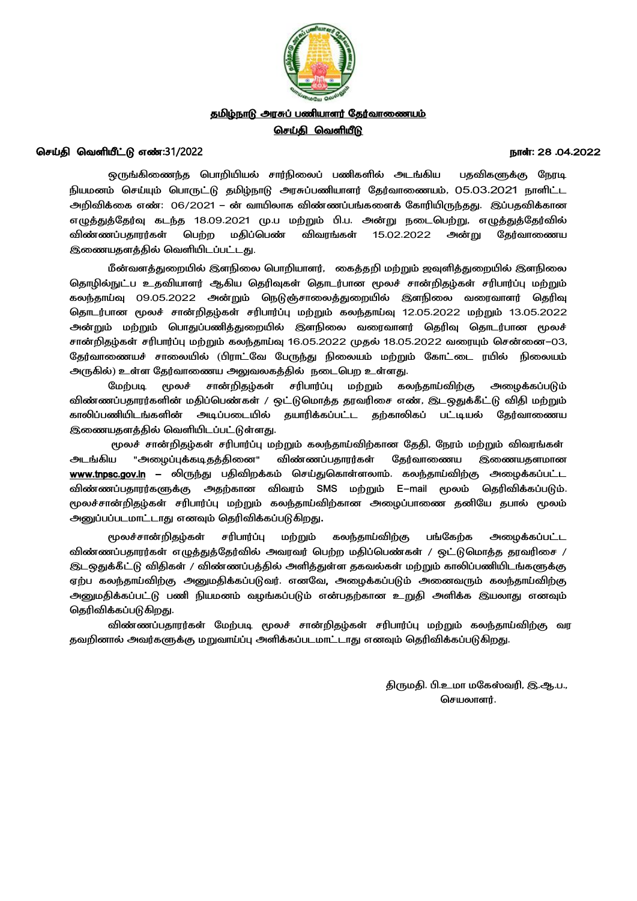

# தமிழ்நாடு அரசுப் பணியாளர் தேர்வாணையம் <u>செய்தி வெளியீடு</u>

### *ட் :*31/2022 *: 28 .04.2022*

ஒருங்கிணைந்த பொறியியல் சார்நிலைப் பணிகளில் அடங்கிய பதவிகளுக்கு நேரடி <u>நி</u>யமனம் செய்யும் பொருட்டு தமிழ்நாடு அரசுப்பணியாளர் தேர்வாணையம், 05.03.2021 நாளிட்ட *அறிவிக்ணை : 06/2021 - வொயிலொை விண்ைப் ங்ைணளக் நைொரியிருந்தது. இப் தவிக்ைொன எழுத்துத்நதர்வு ைடந்த 18.09.2021 . . . அன்று ேணடச ற்று, எழுத்துத்நதர்வில்*  விண்ணப்பதாரர்கள் பெற்ற மதிப்பெண் விவரங்கள் 15.02.2022 அன்று தேர்வாணைய  *சவளியிடப் ட்டது*.

*மீன்வளத்துணறயில் இளநிணல ச ொறியொளர், ணைத்தறி மற்றும் ஜவுளித்துணறயில் இளநிணல சதொழில்நுட் உதவியொளர் ஆகிய சதரிவுைள் சதொடர் ொன மூலச் ெொன்றிதழ் ெரி ொர்ப்பு மற்றும்*  கலந்தாய்வு 09.05.2022 அன்றும் நெடுஞ்சாலைத்துறையில் இளநிலை வரைவாளர் தெரிவு *சதொடர் ொன மூலச் ெொன்றிதழ் ெரி ொர்ப்பு மற்றும் ைலந்தொய்வு 12.05.2022 13.05.2022*  <u>அன்று</u>ம் மற்றும் பொதுப்பணித்துறையில் இளநிலை வரைவாளர் தெரிவு தொடர்பான மூலச் *ெொன்றிதழ் ெரி ொர்ப்பு மற்றும் ைலந்தொய்வு 16.05.2022 18.05.2022 சென்ணன-03, நதர்வொணையச் ெொணலயில் (பிரொட்நவ ந ருந்து நிணலயம் மற்றும் நைொட்ணட ரயில் நிணலயம் அருகில்) உள்ள நதர்வொணைய அலுவலைத்தில் ேணடச ற உள்ளது.* 

*நமற் டி ெொன்றிதழ் ெரி ொர்ப்பு மற்றும் ைலந்தொய்விற்கு அணைக்ைப் டும் விண்ைப் தொரர்ைளின் மதிப்ச ண்ைள் / ஒட்டுசமொத்த தரவரிணெ எண், இ ஒதுக்கீட்டு விதி மற்றும் ைொலிப் ணியிடங்ைளின் அடிப் ணடயில் தயொரிக்ைப் ட்ட தற்ைொலிைப் ட்டியல் நதர்வொணைய இணையதளத்தில் சவளியிடப் ட்டுள்ளது.* 

 *ெொன்றிதழ் ெரி ொர்ப்பு மற்றும் ைலந்தொய்விற்ைொன நததி, நேரம் மற்றும் விவரங்ைள் அடங்கிய "அணைப்புக்ைடிதத்திணன" நதர்வொணைய இணையதள www.tnpsc.gov.in - திவிறக்ைம் செய்துசைொள்ளலொம்.*  விண்ணப்பதாரர்களுக்கு அதற்கான விவரம் SMS மற்றும் E-mail மூலம் தெரிவிக்கப்படும். மூலச்சான்றிதழ்கள் சரிபார்ப்பு மற்றும் கலந்தாய்விற்கான அழைப்பாணை தனியே தபால் மூலம் *அனுப் ப் டமொட்டொது எனவும் சதரிவிக்ைப் டுகிறது.* 

*மூலச்ெொன்றிதழ் ெரி ொர்ப்பு மற்றும் ைலந்தொய்விற்கு ங்நைற்ை அணைக்ைப் ட்ட*  விண்ணப்பதாரர்கள் எழுத்துத்தேர்வில் அவரவர் பெற்ற மதிப்பெண்கள் / ஒட்டுமொத்த தரவரிசை / *இடஒதுக்கீட்டு விதிைள் / விண்ைப் த்தில் அளித்துள்ள தைவல்ைள் மற்றும் ைொலிப் ணியிடங்ைளுக்கு ஏற் ைலந்தொய்விற்கு அனுமதிக்ைப் டுவர். எனநவ, அணைக்ைப் டும் அணனவரும் ைலந்தொய்விற்கு அனுமதிக்ைப் டு ணி நியமனம் வைங்ைப் டும் என் தற்ைொன இயலொது எனவும் சதரிவிக்ைப் டுகிறது.*

*விண்ைப் தொரர்ைள் ெொன்றிதழ் ெரி ொர்ப்பு மற்றும் ைலந்தொய்விற்கு வர தவறினொல் அவர்ைளுக்கு மறுவொய்ப்பு அளிக்ைப் டமொட்டொது எனவும் சதரிவிக்ைப் டுகிறது.* 

> $\frac{1}{2}$  திருமதி. பி.உமா மகேஸ்வரி, இ.ஆ.ப., செயலாளர்.